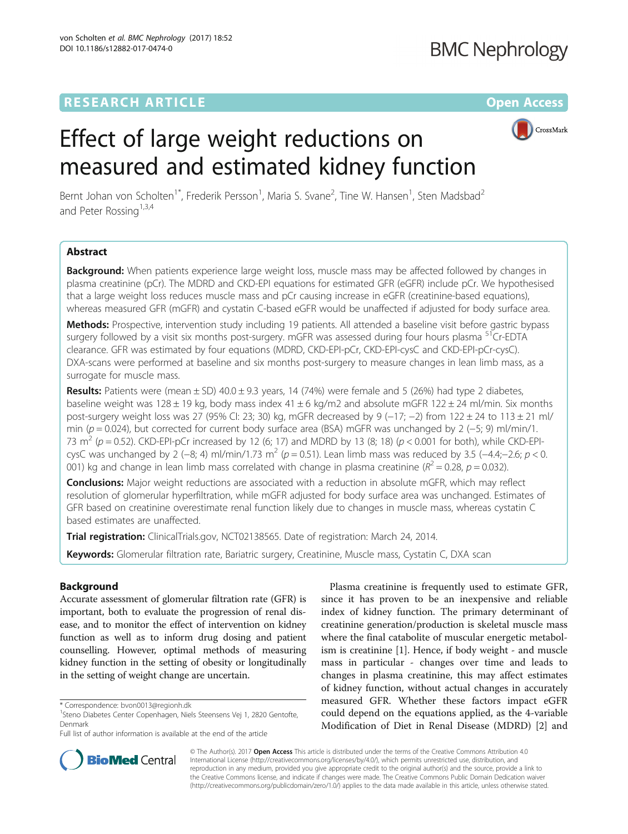## **RESEARCH ARTICLE Example 2014 12:30 The Contract of Contract ACCESS**



# Effect of large weight reductions on measured and estimated kidney function

Bernt Johan von Scholten<sup>1\*</sup>, Frederik Persson<sup>1</sup>, Maria S. Svane<sup>2</sup>, Tine W. Hansen<sup>1</sup>, Sten Madsbad<sup>2</sup> and Peter Rossing<sup>1,3,4</sup>

## Abstract

Background: When patients experience large weight loss, muscle mass may be affected followed by changes in plasma creatinine (pCr). The MDRD and CKD-EPI equations for estimated GFR (eGFR) include pCr. We hypothesised that a large weight loss reduces muscle mass and pCr causing increase in eGFR (creatinine-based equations), whereas measured GFR (mGFR) and cystatin C-based eGFR would be unaffected if adjusted for body surface area.

Methods: Prospective, intervention study including 19 patients. All attended a baseline visit before gastric bypass surgery followed by a visit six months post-surgery. mGFR was assessed during four hours plasma <sup>51</sup>Cr-EDTA clearance. GFR was estimated by four equations (MDRD, CKD-EPI-pCr, CKD-EPI-cysC and CKD-EPI-pCr-cysC). DXA-scans were performed at baseline and six months post-surgery to measure changes in lean limb mass, as a surrogate for muscle mass.

Results: Patients were (mean  $\pm$  SD) 40.0  $\pm$  9.3 years, 14 (74%) were female and 5 (26%) had type 2 diabetes, baseline weight was 128  $\pm$  19 kg, body mass index 41  $\pm$  6 kg/m2 and absolute mGFR 122  $\pm$  24 ml/min. Six months post-surgery weight loss was 27 (95% CI: 23; 30) kg, mGFR decreased by 9 (−17; −2) from 122 ± 24 to 113 ± 21 ml/ min ( $p = 0.024$ ), but corrected for current body surface area (BSA) mGFR was unchanged by 2 (-5; 9) ml/min/1. 73 m<sup>2</sup> ( $p = 0.52$ ). CKD-EPI-pCr increased by 12 (6; 17) and MDRD by 13 (8; 18) ( $p < 0.001$  for both), while CKD-EPIcysC was unchanged by 2 (-8; 4) ml/min/1.73 m<sup>2</sup> (p = 0.51). Lean limb mass was reduced by 3.5 (-4.4;-2.6; p < 0. 001) kg and change in lean limb mass correlated with change in plasma creatinine ( $R^2 = 0.28$ ,  $p = 0.032$ ).

**Conclusions:** Major weight reductions are associated with a reduction in absolute mGFR, which may reflect resolution of glomerular hyperfiltration, while mGFR adjusted for body surface area was unchanged. Estimates of GFR based on creatinine overestimate renal function likely due to changes in muscle mass, whereas cystatin C based estimates are unaffected.

Trial registration: ClinicalTrials.gov, [NCT02138565.](https://clinicaltrials.gov/ct2/show/NCT02138565) Date of registration: March 24, 2014.

Keywords: Glomerular filtration rate, Bariatric surgery, Creatinine, Muscle mass, Cystatin C, DXA scan

## Background

Accurate assessment of glomerular filtration rate (GFR) is important, both to evaluate the progression of renal disease, and to monitor the effect of intervention on kidney function as well as to inform drug dosing and patient counselling. However, optimal methods of measuring kidney function in the setting of obesity or longitudinally in the setting of weight change are uncertain.

Plasma creatinine is frequently used to estimate GFR, since it has proven to be an inexpensive and reliable index of kidney function. The primary determinant of creatinine generation/production is skeletal muscle mass where the final catabolite of muscular energetic metabolism is creatinine [[1](#page-5-0)]. Hence, if body weight - and muscle mass in particular - changes over time and leads to changes in plasma creatinine, this may affect estimates of kidney function, without actual changes in accurately measured GFR. Whether these factors impact eGFR could depend on the equations applied, as the 4-variable Modification of Diet in Renal Disease (MDRD) [\[2](#page-5-0)] and



© The Author(s). 2017 **Open Access** This article is distributed under the terms of the Creative Commons Attribution 4.0 International License [\(http://creativecommons.org/licenses/by/4.0/](http://creativecommons.org/licenses/by/4.0/)), which permits unrestricted use, distribution, and reproduction in any medium, provided you give appropriate credit to the original author(s) and the source, provide a link to the Creative Commons license, and indicate if changes were made. The Creative Commons Public Domain Dedication waiver [\(http://creativecommons.org/publicdomain/zero/1.0/](http://creativecommons.org/publicdomain/zero/1.0/)) applies to the data made available in this article, unless otherwise stated.

<sup>\*</sup> Correspondence: [bvon0013@regionh.dk](mailto:bvon0013@regionh.dk) <sup>1</sup>

<sup>&</sup>lt;sup>1</sup>Steno Diabetes Center Copenhagen, Niels Steensens Vej 1, 2820 Gentofte, Denmark

Full list of author information is available at the end of the article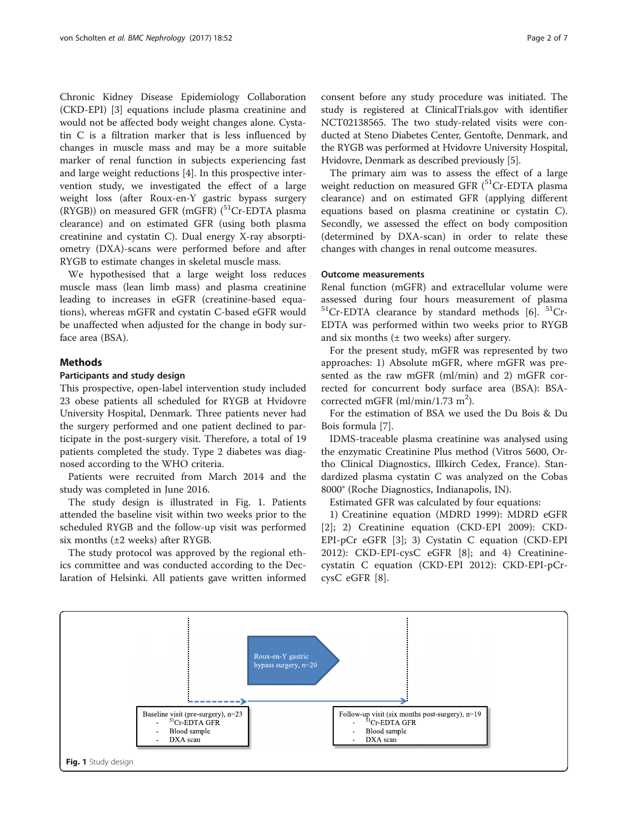Chronic Kidney Disease Epidemiology Collaboration (CKD-EPI) [[3](#page-5-0)] equations include plasma creatinine and would not be affected body weight changes alone. Cystatin C is a filtration marker that is less influenced by changes in muscle mass and may be a more suitable marker of renal function in subjects experiencing fast and large weight reductions [\[4](#page-5-0)]. In this prospective intervention study, we investigated the effect of a large weight loss (after Roux-en-Y gastric bypass surgery (RYGB)) on measured GFR (mGFR)  $(^{51}Cr$ -EDTA plasma clearance) and on estimated GFR (using both plasma creatinine and cystatin C). Dual energy X-ray absorptiometry (DXA)-scans were performed before and after RYGB to estimate changes in skeletal muscle mass.

We hypothesised that a large weight loss reduces muscle mass (lean limb mass) and plasma creatinine leading to increases in eGFR (creatinine-based equations), whereas mGFR and cystatin C-based eGFR would be unaffected when adjusted for the change in body surface area (BSA).

## **Methods**

## Participants and study design

This prospective, open-label intervention study included 23 obese patients all scheduled for RYGB at Hvidovre University Hospital, Denmark. Three patients never had the surgery performed and one patient declined to participate in the post-surgery visit. Therefore, a total of 19 patients completed the study. Type 2 diabetes was diagnosed according to the WHO criteria.

Patients were recruited from March 2014 and the study was completed in June 2016.

The study design is illustrated in Fig. 1. Patients attended the baseline visit within two weeks prior to the scheduled RYGB and the follow-up visit was performed six months (±2 weeks) after RYGB.

The study protocol was approved by the regional ethics committee and was conducted according to the Declaration of Helsinki. All patients gave written informed consent before any study procedure was initiated. The study is registered at ClinicalTrials.gov with identifier NCT02138565. The two study-related visits were conducted at Steno Diabetes Center, Gentofte, Denmark, and the RYGB was performed at Hvidovre University Hospital, Hvidovre, Denmark as described previously [\[5\]](#page-5-0).

The primary aim was to assess the effect of a large weight reduction on measured GFR  $(^{51}Cr$ -EDTA plasma clearance) and on estimated GFR (applying different equations based on plasma creatinine or cystatin C). Secondly, we assessed the effect on body composition (determined by DXA-scan) in order to relate these changes with changes in renal outcome measures.

## Outcome measurements

Renal function (mGFR) and extracellular volume were assessed during four hours measurement of plasma  $51Cr$ -EDTA clearance by standard methods [\[6](#page-5-0)].  $51Cr$ -EDTA was performed within two weeks prior to RYGB and six months  $(± two weeks)$  after surgery.

For the present study, mGFR was represented by two approaches: 1) Absolute mGFR, where mGFR was presented as the raw mGFR (ml/min) and 2) mGFR corrected for concurrent body surface area (BSA): BSAcorrected mGFR (ml/min/1.73 m<sup>2</sup>).

For the estimation of BSA we used the Du Bois & Du Bois formula [\[7](#page-5-0)].

IDMS-traceable plasma creatinine was analysed using the enzymatic Creatinine Plus method (Vitros 5600, Ortho Clinical Diagnostics, Illkirch Cedex, France). Standardized plasma cystatin C was analyzed on the Cobas 8000® (Roche Diagnostics, Indianapolis, IN).

Estimated GFR was calculated by four equations:

1) Creatinine equation (MDRD 1999): MDRD eGFR [[2\]](#page-5-0); 2) Creatinine equation (CKD-EPI 2009): CKD-EPI-pCr eGFR [\[3](#page-5-0)]; 3) Cystatin C equation (CKD-EPI 2012): CKD-EPI-cysC eGFR [\[8](#page-5-0)]; and 4) Creatininecystatin C equation (CKD-EPI 2012): CKD-EPI-pCrcysC eGFR [[8\]](#page-5-0).

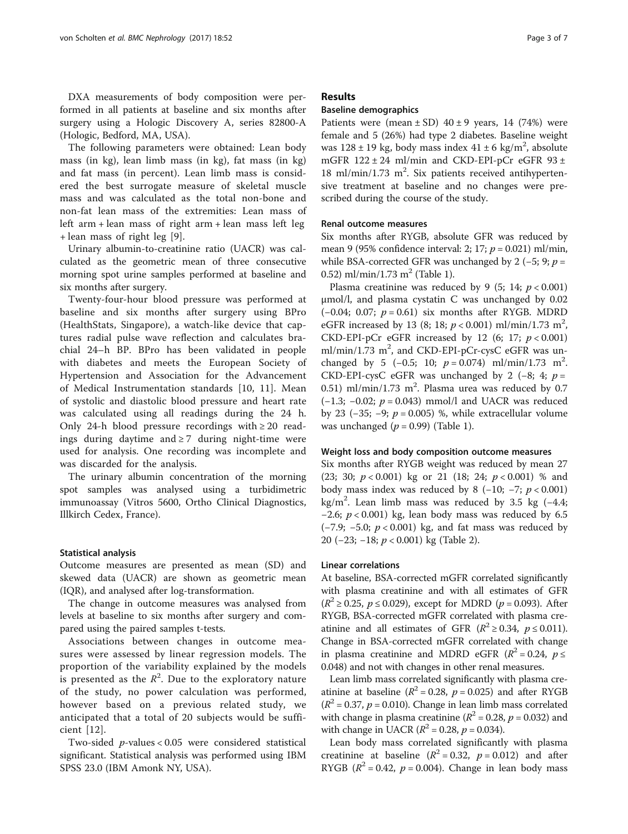DXA measurements of body composition were performed in all patients at baseline and six months after surgery using a Hologic Discovery A, series 82800-A (Hologic, Bedford, MA, USA).

The following parameters were obtained: Lean body mass (in kg), lean limb mass (in kg), fat mass (in kg) and fat mass (in percent). Lean limb mass is considered the best surrogate measure of skeletal muscle mass and was calculated as the total non-bone and non-fat lean mass of the extremities: Lean mass of left arm + lean mass of right arm + lean mass left leg + lean mass of right leg [[9\]](#page-5-0).

Urinary albumin-to-creatinine ratio (UACR) was calculated as the geometric mean of three consecutive morning spot urine samples performed at baseline and six months after surgery.

Twenty-four-hour blood pressure was performed at baseline and six months after surgery using BPro (HealthStats, Singapore), a watch-like device that captures radial pulse wave reflection and calculates brachial 24–h BP. BPro has been validated in people with diabetes and meets the European Society of Hypertension and Association for the Advancement of Medical Instrumentation standards [\[10](#page-5-0), [11](#page-5-0)]. Mean of systolic and diastolic blood pressure and heart rate was calculated using all readings during the 24 h. Only 24-h blood pressure recordings with  $\geq 20$  readings during daytime and  $\geq 7$  during night-time were used for analysis. One recording was incomplete and was discarded for the analysis.

The urinary albumin concentration of the morning spot samples was analysed using a turbidimetric immunoassay (Vitros 5600, Ortho Clinical Diagnostics, Illkirch Cedex, France).

#### Statistical analysis

Outcome measures are presented as mean (SD) and skewed data (UACR) are shown as geometric mean (IQR), and analysed after log-transformation.

The change in outcome measures was analysed from levels at baseline to six months after surgery and compared using the paired samples t-tests.

Associations between changes in outcome measures were assessed by linear regression models. The proportion of the variability explained by the models is presented as the  $R^2$ . Due to the exploratory nature of the study, no power calculation was performed, however based on a previous related study, we anticipated that a total of 20 subjects would be sufficient [[12](#page-5-0)].

Two-sided p-values < 0.05 were considered statistical significant. Statistical analysis was performed using IBM SPSS 23.0 (IBM Amonk NY, USA).

## Results

## Baseline demographics

Patients were (mean  $\pm$  SD) 40  $\pm$  9 years, 14 (74%) were female and 5 (26%) had type 2 diabetes. Baseline weight was  $128 \pm 19$  kg, body mass index  $41 \pm 6$  kg/m<sup>2</sup>, absolute mGFR 122 ± 24 ml/min and CKD-EPI-pCr eGFR 93 ± 18 ml/min/1.73 m<sup>2</sup>. Six patients received antihypertensive treatment at baseline and no changes were prescribed during the course of the study.

## Renal outcome measures

Six months after RYGB, absolute GFR was reduced by mean 9 (95% confidence interval: 2; 17;  $p = 0.021$ ) ml/min, while BSA-corrected GFR was unchanged by 2 (-5; 9;  $p =$ 0.52) ml/min/1.73 m<sup>2</sup> (Table [1](#page-3-0)).

Plasma creatinine was reduced by 9 (5; 14;  $p < 0.001$ ) μmol/l, and plasma cystatin C was unchanged by 0.02 (−0.04; 0.07; p = 0.61) six months after RYGB. MDRD eGFR increased by 13 (8; 18;  $p < 0.001$ ) ml/min/1.73 m<sup>2</sup>, CKD-EPI-pCr eGFR increased by 12 (6; 17;  $p < 0.001$ ) ml/min/1.73 m<sup>2</sup>, and CKD-EPI-pCr-cysC eGFR was unchanged by 5 (-0.5; 10;  $p = 0.074$ ) ml/min/1.73 m<sup>2</sup>. CKD-EPI-cysC eGFR was unchanged by 2 (-8; 4;  $p =$ 0.51) ml/min/1.73 m<sup>2</sup>. Plasma urea was reduced by 0.7 ( $-1.3$ ;  $-0.02$ ;  $p = 0.043$ ) mmol/l and UACR was reduced by 23 (−35; −9;  $p = 0.005$ ) %, while extracellular volume was unchanged  $(p = 0.99)$  (Table [1](#page-3-0)).

#### Weight loss and body composition outcome measures

Six months after RYGB weight was reduced by mean 27 (23; 30;  $p < 0.001$ ) kg or 21 (18; 24;  $p < 0.001$ ) % and body mass index was reduced by 8  $(-10; -7; p < 0.001)$ kg/m<sup>2</sup> . Lean limb mass was reduced by 3.5 kg (−4.4;  $-2.6$ ;  $p < 0.001$ ) kg, lean body mass was reduced by 6.5 ( $-7.9$ ;  $-5.0$ ;  $p < 0.001$ ) kg, and fat mass was reduced by 20 (−23; −18; p < 0.001) kg (Table [2\)](#page-3-0).

## Linear correlations

At baseline, BSA-corrected mGFR correlated significantly with plasma creatinine and with all estimates of GFR  $(R^2 \ge 0.25, p \le 0.029)$ , except for MDRD ( $p = 0.093$ ). After RYGB, BSA-corrected mGFR correlated with plasma creatinine and all estimates of GFR ( $R^2 \ge 0.34$ ,  $p \le 0.011$ ). Change in BSA-corrected mGFR correlated with change in plasma creatinine and MDRD eGFR ( $R^2 = 0.24$ ,  $p \le$ 0.048) and not with changes in other renal measures.

Lean limb mass correlated significantly with plasma creatinine at baseline ( $R^2 = 0.28$ ,  $p = 0.025$ ) and after RYGB  $(R^2 = 0.37, p = 0.010)$ . Change in lean limb mass correlated with change in plasma creatinine ( $R^2$  = 0.28,  $p$  = 0.032) and with change in UACR ( $R^2 = 0.28$ ,  $p = 0.034$ ).

Lean body mass correlated significantly with plasma creatinine at baseline  $(R^2 = 0.32, p = 0.012)$  and after RYGB ( $R^2$  = 0.42,  $p$  = 0.004). Change in lean body mass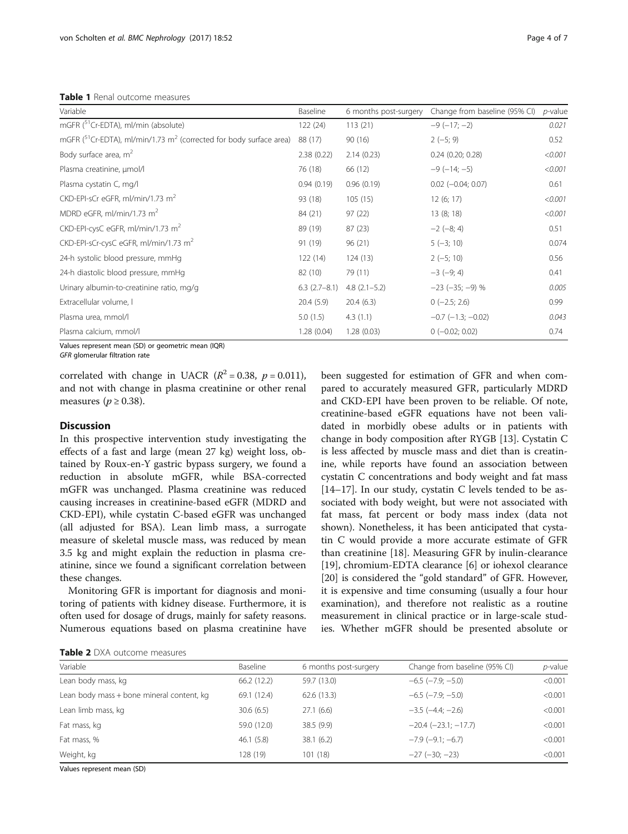<span id="page-3-0"></span>Table 1 Renal outcome measures

| Variable                                                                             | Baseline          | 6 months post-surgery | Change from baseline (95% CI) | $p$ -value |
|--------------------------------------------------------------------------------------|-------------------|-----------------------|-------------------------------|------------|
| mGFR ( <sup>51</sup> Cr-EDTA), ml/min (absolute)                                     | 122(24)           | 113(21)               | $-9(-17; -2)$                 | 0.021      |
| mGFR $(^{51}Cr$ -EDTA), ml/min/1.73 m <sup>2</sup> (corrected for body surface area) | 88 (17)           | 90(16)                | $2(-5; 9)$                    | 0.52       |
| Body surface area, $m^2$                                                             | 2.38(0.22)        | 2.14(0.23)            | $0.24$ (0.20; 0.28)           | < 0.001    |
| Plasma creatinine, µmol/l                                                            | 76 (18)           | 66 (12)               | $-9(-14; -5)$                 | < 0.001    |
| Plasma cystatin C, mg/l                                                              | 0.94(0.19)        | 0.96(0.19)            | $0.02$ ( $-0.04$ ; 0.07)      | 0.61       |
| CKD-EPI-sCr eGFR, ml/min/1.73 m <sup>2</sup>                                         | 93 (18)           | 105(15)               | 12(6; 17)                     | < 0.001    |
| MDRD eGFR, ml/min/1.73 m <sup>2</sup>                                                | 84 (21)           | 97(22)                | 13(8; 18)                     | < 0.001    |
| CKD-EPI-cysC eGFR, ml/min/1.73 m <sup>2</sup>                                        | 89 (19)           | 87(23)                | $-2(-8; 4)$                   | 0.51       |
| CKD-EPI-sCr-cysC eGFR, ml/min/1.73 m <sup>2</sup>                                    | 91 (19)           | 96(21)                | $5(-3; 10)$                   | 0.074      |
| 24-h systolic blood pressure, mmHq                                                   | 122(14)           | 124(13)               | $2(-5; 10)$                   | 0.56       |
| 24-h diastolic blood pressure, mmHq                                                  | 82 (10)           | 79 (11)               | $-3(-9; 4)$                   | 0.41       |
| Urinary albumin-to-creatinine ratio, mg/g                                            | $6.3$ $(2.7-8.1)$ | $4.8$ $(2.1 - 5.2)$   | $-23 (-35; -9)$ %             | 0.005      |
| Extracellular volume, I                                                              | 20.4(5.9)         | 20.4(6.3)             | $0(-2.5; 2.6)$                | 0.99       |
| Plasma urea, mmol/l                                                                  | 5.0(1.5)          | 4.3(1.1)              | $-0.7$ ( $-1.3$ ; $-0.02$ )   | 0.043      |
| Plasma calcium, mmol/l                                                               | 1.28(0.04)        | 1.28(0.03)            | $0 (-0.02; 0.02)$             | 0.74       |

Values represent mean (SD) or geometric mean (IQR)

GFR glomerular filtration rate

correlated with change in UACR  $(R^2 = 0.38, p = 0.011)$ , and not with change in plasma creatinine or other renal measures ( $p \ge 0.38$ ).

## **Discussion**

In this prospective intervention study investigating the effects of a fast and large (mean 27 kg) weight loss, obtained by Roux-en-Y gastric bypass surgery, we found a reduction in absolute mGFR, while BSA-corrected mGFR was unchanged. Plasma creatinine was reduced causing increases in creatinine-based eGFR (MDRD and CKD-EPI), while cystatin C-based eGFR was unchanged (all adjusted for BSA). Lean limb mass, a surrogate measure of skeletal muscle mass, was reduced by mean 3.5 kg and might explain the reduction in plasma creatinine, since we found a significant correlation between these changes.

Monitoring GFR is important for diagnosis and monitoring of patients with kidney disease. Furthermore, it is often used for dosage of drugs, mainly for safety reasons. Numerous equations based on plasma creatinine have been suggested for estimation of GFR and when compared to accurately measured GFR, particularly MDRD and CKD-EPI have been proven to be reliable. Of note, creatinine-based eGFR equations have not been validated in morbidly obese adults or in patients with change in body composition after RYGB [\[13\]](#page-5-0). Cystatin C is less affected by muscle mass and diet than is creatinine, while reports have found an association between cystatin C concentrations and body weight and fat mass [[14](#page-5-0)–[17](#page-5-0)]. In our study, cystatin C levels tended to be associated with body weight, but were not associated with fat mass, fat percent or body mass index (data not shown). Nonetheless, it has been anticipated that cystatin C would provide a more accurate estimate of GFR than creatinine [\[18](#page-5-0)]. Measuring GFR by inulin-clearance [[19\]](#page-5-0), chromium-EDTA clearance [[6\]](#page-5-0) or iohexol clearance [[20\]](#page-5-0) is considered the "gold standard" of GFR. However, it is expensive and time consuming (usually a four hour examination), and therefore not realistic as a routine measurement in clinical practice or in large-scale studies. Whether mGFR should be presented absolute or

| <b>Table 2</b> DXA outcome measures |
|-------------------------------------|
|                                     |

| Variable                                  | Baseline    | 6 months post-surgery | Change from baseline (95% CI) | <i>p</i> -value |
|-------------------------------------------|-------------|-----------------------|-------------------------------|-----------------|
| Lean body mass, kg                        | 66.2(12.2)  | 59.7 (13.0)           | $-6.5$ ( $-7.9$ ; $-5.0$ )    | < 0.001         |
| Lean body mass + bone mineral content, kg | 69.1 (12.4) | 62.6 (13.3)           | $-6.5$ $(-7.9; -5.0)$         | < 0.001         |
| Lean limb mass, kg                        | 30.6(6.5)   | 27.1(6.6)             | $-3.5$ $(-4.4; -2.6)$         | < 0.001         |
| Fat mass, kg                              | 59.0 (12.0) | 38.5 (9.9)            | $-20.4$ $(-23.1; -17.7)$      | < 0.001         |
| Fat mass, %                               | 46.1(5.8)   | 38.1(6.2)             | $-7.9$ ( $-9.1$ ; $-6.7$ )    | < 0.001         |
| Weight, kg                                | 128 (19)    | 101(18)               | $-27$ ( $-30$ ; $-23$ )       | < 0.001         |

Values represent mean (SD)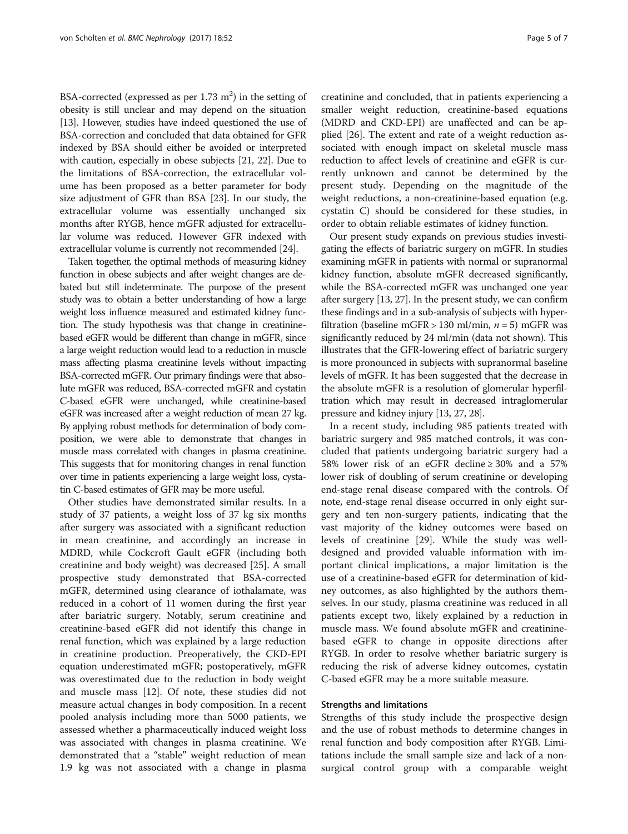BSA-corrected (expressed as per  $1.73 \text{ m}^2$ ) in the setting of obesity is still unclear and may depend on the situation [[13](#page-5-0)]. However, studies have indeed questioned the use of BSA-correction and concluded that data obtained for GFR indexed by BSA should either be avoided or interpreted with caution, especially in obese subjects [\[21,](#page-5-0) [22\]](#page-6-0). Due to the limitations of BSA-correction, the extracellular volume has been proposed as a better parameter for body size adjustment of GFR than BSA [[23](#page-6-0)]. In our study, the extracellular volume was essentially unchanged six months after RYGB, hence mGFR adjusted for extracellular volume was reduced. However GFR indexed with extracellular volume is currently not recommended [\[24\]](#page-6-0).

Taken together, the optimal methods of measuring kidney function in obese subjects and after weight changes are debated but still indeterminate. The purpose of the present study was to obtain a better understanding of how a large weight loss influence measured and estimated kidney function. The study hypothesis was that change in creatininebased eGFR would be different than change in mGFR, since a large weight reduction would lead to a reduction in muscle mass affecting plasma creatinine levels without impacting BSA-corrected mGFR. Our primary findings were that absolute mGFR was reduced, BSA-corrected mGFR and cystatin C-based eGFR were unchanged, while creatinine-based eGFR was increased after a weight reduction of mean 27 kg. By applying robust methods for determination of body composition, we were able to demonstrate that changes in muscle mass correlated with changes in plasma creatinine. This suggests that for monitoring changes in renal function over time in patients experiencing a large weight loss, cystatin C-based estimates of GFR may be more useful.

Other studies have demonstrated similar results. In a study of 37 patients, a weight loss of 37 kg six months after surgery was associated with a significant reduction in mean creatinine, and accordingly an increase in MDRD, while Cockcroft Gault eGFR (including both creatinine and body weight) was decreased [\[25](#page-6-0)]. A small prospective study demonstrated that BSA-corrected mGFR, determined using clearance of iothalamate, was reduced in a cohort of 11 women during the first year after bariatric surgery. Notably, serum creatinine and creatinine-based eGFR did not identify this change in renal function, which was explained by a large reduction in creatinine production. Preoperatively, the CKD-EPI equation underestimated mGFR; postoperatively, mGFR was overestimated due to the reduction in body weight and muscle mass [[12\]](#page-5-0). Of note, these studies did not measure actual changes in body composition. In a recent pooled analysis including more than 5000 patients, we assessed whether a pharmaceutically induced weight loss was associated with changes in plasma creatinine. We demonstrated that a "stable" weight reduction of mean 1.9 kg was not associated with a change in plasma creatinine and concluded, that in patients experiencing a smaller weight reduction, creatinine-based equations (MDRD and CKD-EPI) are unaffected and can be applied [\[26\]](#page-6-0). The extent and rate of a weight reduction associated with enough impact on skeletal muscle mass reduction to affect levels of creatinine and eGFR is currently unknown and cannot be determined by the present study. Depending on the magnitude of the weight reductions, a non-creatinine-based equation (e.g. cystatin C) should be considered for these studies, in order to obtain reliable estimates of kidney function.

Our present study expands on previous studies investigating the effects of bariatric surgery on mGFR. In studies examining mGFR in patients with normal or supranormal kidney function, absolute mGFR decreased significantly, while the BSA-corrected mGFR was unchanged one year after surgery [\[13](#page-5-0), [27](#page-6-0)]. In the present study, we can confirm these findings and in a sub-analysis of subjects with hyperfiltration (baseline mGFR > 130 ml/min,  $n = 5$ ) mGFR was significantly reduced by 24 ml/min (data not shown). This illustrates that the GFR-lowering effect of bariatric surgery is more pronounced in subjects with supranormal baseline levels of mGFR. It has been suggested that the decrease in the absolute mGFR is a resolution of glomerular hyperfiltration which may result in decreased intraglomerular pressure and kidney injury [\[13](#page-5-0), [27](#page-6-0), [28\]](#page-6-0).

In a recent study, including 985 patients treated with bariatric surgery and 985 matched controls, it was concluded that patients undergoing bariatric surgery had a 58% lower risk of an eGFR decline ≥ 30% and a 57% lower risk of doubling of serum creatinine or developing end-stage renal disease compared with the controls. Of note, end-stage renal disease occurred in only eight surgery and ten non-surgery patients, indicating that the vast majority of the kidney outcomes were based on levels of creatinine [\[29](#page-6-0)]. While the study was welldesigned and provided valuable information with important clinical implications, a major limitation is the use of a creatinine-based eGFR for determination of kidney outcomes, as also highlighted by the authors themselves. In our study, plasma creatinine was reduced in all patients except two, likely explained by a reduction in muscle mass. We found absolute mGFR and creatininebased eGFR to change in opposite directions after RYGB. In order to resolve whether bariatric surgery is reducing the risk of adverse kidney outcomes, cystatin C-based eGFR may be a more suitable measure.

## Strengths and limitations

Strengths of this study include the prospective design and the use of robust methods to determine changes in renal function and body composition after RYGB. Limitations include the small sample size and lack of a nonsurgical control group with a comparable weight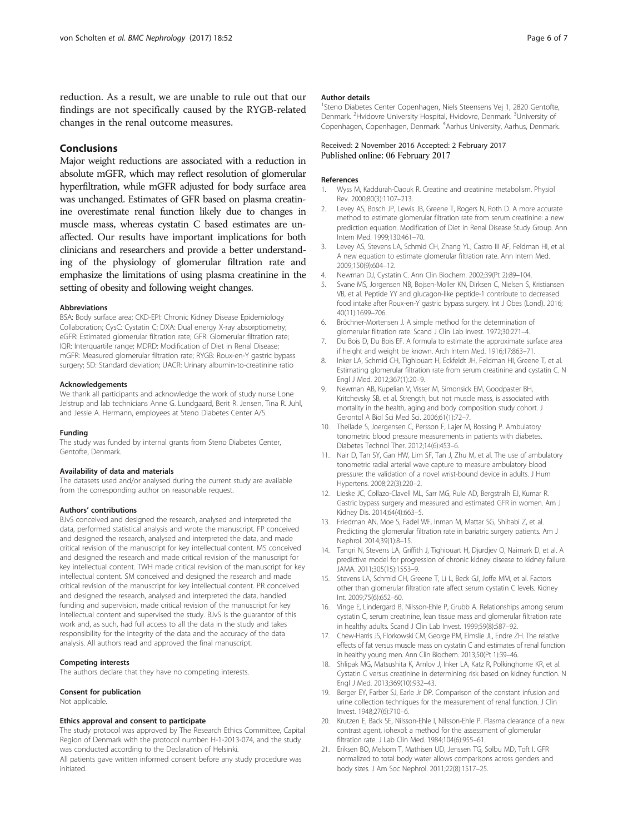<span id="page-5-0"></span>reduction. As a result, we are unable to rule out that our findings are not specifically caused by the RYGB-related changes in the renal outcome measures.

## Conclusions

Major weight reductions are associated with a reduction in absolute mGFR, which may reflect resolution of glomerular hyperfiltration, while mGFR adjusted for body surface area was unchanged. Estimates of GFR based on plasma creatinine overestimate renal function likely due to changes in muscle mass, whereas cystatin C based estimates are unaffected. Our results have important implications for both clinicians and researchers and provide a better understanding of the physiology of glomerular filtration rate and emphasize the limitations of using plasma creatinine in the setting of obesity and following weight changes.

#### Abbreviations

BSA: Body surface area; CKD-EPI: Chronic Kidney Disease Epidemiology Collaboration; CysC: Cystatin C; DXA: Dual energy X-ray absorptiometry; eGFR: Estimated glomerular filtration rate; GFR: Glomerular filtration rate; IQR: Interquartile range; MDRD: Modification of Diet in Renal Disease; mGFR: Measured glomerular filtration rate; RYGB: Roux-en-Y gastric bypass surgery; SD: Standard deviation; UACR: Urinary albumin-to-creatinine ratio

#### Acknowledgements

We thank all participants and acknowledge the work of study nurse Lone Jelstrup and lab technicians Anne G. Lundgaard, Berit R. Jensen, Tina R. Juhl, and Jessie A. Hermann, employees at Steno Diabetes Center A/S.

#### Funding

The study was funded by internal grants from Steno Diabetes Center, Gentofte, Denmark.

#### Availability of data and materials

The datasets used and/or analysed during the current study are available from the corresponding author on reasonable request.

#### Authors' contributions

BJvS conceived and designed the research, analysed and interpreted the data, performed statistical analysis and wrote the manuscript. FP conceived and designed the research, analysed and interpreted the data, and made critical revision of the manuscript for key intellectual content. MS conceived and designed the research and made critical revision of the manuscript for key intellectual content. TWH made critical revision of the manuscript for key intellectual content. SM conceived and designed the research and made critical revision of the manuscript for key intellectual content. PR conceived and designed the research, analysed and interpreted the data, handled funding and supervision, made critical revision of the manuscript for key intellectual content and supervised the study. BJvS is the guarantor of this work and, as such, had full access to all the data in the study and takes responsibility for the integrity of the data and the accuracy of the data analysis. All authors read and approved the final manuscript.

#### Competing interests

The authors declare that they have no competing interests.

#### Consent for publication

Not applicable.

#### Ethics approval and consent to participate

The study protocol was approved by The Research Ethics Committee, Capital Region of Denmark with the protocol number: H-1-2013-074, and the study was conducted according to the Declaration of Helsinki.

All patients gave written informed consent before any study procedure was initiated.

#### Author details

<sup>1</sup>Steno Diabetes Center Copenhagen, Niels Steensens Vej 1, 2820 Gentofte, Denmark. <sup>2</sup>Hvidovre University Hospital, Hvidovre, Denmark. <sup>3</sup>University of Copenhagen, Copenhagen, Denmark. <sup>4</sup> Aarhus University, Aarhus, Denmark

## Received: 2 November 2016 Accepted: 2 February 2017 Published online: 06 February 2017

#### References

- 1. Wyss M, Kaddurah-Daouk R. Creatine and creatinine metabolism. Physiol Rev. 2000;80(3):1107–213.
- 2. Levey AS, Bosch JP, Lewis JB, Greene T, Rogers N, Roth D. A more accurate method to estimate glomerular filtration rate from serum creatinine: a new prediction equation. Modification of Diet in Renal Disease Study Group. Ann Intern Med. 1999;130:461–70.
- 3. Levey AS, Stevens LA, Schmid CH, Zhang YL, Castro III AF, Feldman HI, et al. A new equation to estimate glomerular filtration rate. Ann Intern Med. 2009;150(9):604–12.
- 4. Newman DJ, Cystatin C. Ann Clin Biochem. 2002;39(Pt 2):89–104.
- 5. Svane MS, Jorgensen NB, Bojsen-Moller KN, Dirksen C, Nielsen S, Kristiansen VB, et al. Peptide YY and glucagon-like peptide-1 contribute to decreased food intake after Roux-en-Y gastric bypass surgery. Int J Obes (Lond). 2016; 40(11):1699–706.
- 6. Bröchner-Mortensen J. A simple method for the determination of glomerular filtration rate. Scand J Clin Lab Invest. 1972;30:271–4.
- 7. Du Bois D, Du Bois EF. A formula to estimate the approximate surface area if height and weight be known. Arch Intern Med. 1916;17:863–71.
- 8. Inker LA, Schmid CH, Tighiouart H, Eckfeldt JH, Feldman HI, Greene T, et al. Estimating glomerular filtration rate from serum creatinine and cystatin C. N Engl J Med. 2012;367(1):20–9.
- 9. Newman AB, Kupelian V, Visser M, Simonsick EM, Goodpaster BH, Kritchevsky SB, et al. Strength, but not muscle mass, is associated with mortality in the health, aging and body composition study cohort. J Gerontol A Biol Sci Med Sci. 2006;61(1):72–7.
- 10. Theilade S, Joergensen C, Persson F, Lajer M, Rossing P. Ambulatory tonometric blood pressure measurements in patients with diabetes. Diabetes Technol Ther. 2012;14(6):453–6.
- 11. Nair D, Tan SY, Gan HW, Lim SF, Tan J, Zhu M, et al. The use of ambulatory tonometric radial arterial wave capture to measure ambulatory blood pressure: the validation of a novel wrist-bound device in adults. J Hum Hypertens. 2008;22(3):220–2.
- 12. Lieske JC, Collazo-Clavell ML, Sarr MG, Rule AD, Bergstralh EJ, Kumar R. Gastric bypass surgery and measured and estimated GFR in women. Am J Kidney Dis. 2014;64(4):663–5.
- 13. Friedman AN, Moe S, Fadel WF, Inman M, Mattar SG, Shihabi Z, et al. Predicting the glomerular filtration rate in bariatric surgery patients. Am J Nephrol. 2014;39(1):8–15.
- 14. Tangri N, Stevens LA, Griffith J, Tighiouart H, Djurdjev O, Naimark D, et al. A predictive model for progression of chronic kidney disease to kidney failure. JAMA. 2011;305(15):1553–9.
- 15. Stevens LA, Schmid CH, Greene T, Li L, Beck GJ, Joffe MM, et al. Factors other than glomerular filtration rate affect serum cystatin C levels. Kidney Int. 2009;75(6):652–60.
- 16. Vinge E, Lindergard B, Nilsson-Ehle P, Grubb A. Relationships among serum cystatin C, serum creatinine, lean tissue mass and glomerular filtration rate in healthy adults. Scand J Clin Lab Invest. 1999;59(8):587–92.
- 17. Chew-Harris JS, Florkowski CM, George PM, Elmslie JL, Endre ZH. The relative effects of fat versus muscle mass on cystatin C and estimates of renal function in healthy young men. Ann Clin Biochem. 2013;50(Pt 1):39–46.
- 18. Shlipak MG, Matsushita K, Arnlov J, Inker LA, Katz R, Polkinghorne KR, et al. Cystatin C versus creatinine in determining risk based on kidney function. N Engl J Med. 2013;369(10):932–43.
- 19. Berger EY, Farber SJ, Earle Jr DP. Comparison of the constant infusion and urine collection techniques for the measurement of renal function. J Clin Invest. 1948;27(6):710–6.
- 20. Krutzen E, Back SE, Nilsson-Ehle I, Nilsson-Ehle P. Plasma clearance of a new contrast agent, iohexol: a method for the assessment of glomerular filtration rate. J Lab Clin Med. 1984;104(6):955–61.
- 21. Eriksen BO, Melsom T, Mathisen UD, Jenssen TG, Solbu MD, Toft I. GFR normalized to total body water allows comparisons across genders and body sizes. J Am Soc Nephrol. 2011;22(8):1517–25.